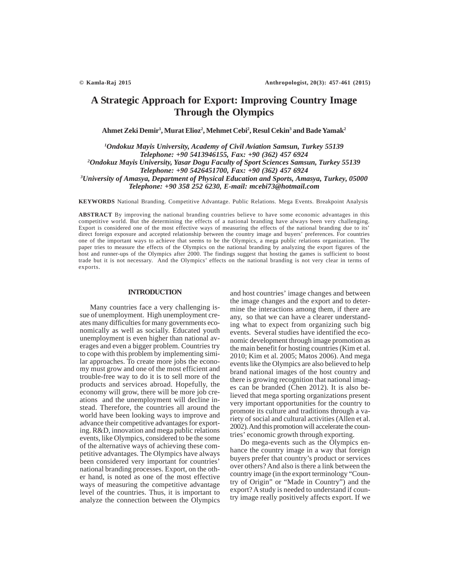# **A Strategic Approach for Export: Improving Country Image Through the Olympics**

 $\boldsymbol{\mathrm{A}}$ hmet Zeki Demir<sup>1</sup>, Murat Elioz<sup>2</sup>, Mehmet Cebi<sup>2</sup>, Resul Cekin<sup>3</sup> and Bade Yamak<sup>2</sup>

*1 Ondokuz Mayis University, Academy of Civil Aviation Samsun, Turkey 55139 Telephone: +90 5413946155, Fax: +90 (362) 457 6924*

*2 Ondokuz Mayis University, Yasar Dogu Faculty of Sport Sciences Samsun, Turkey 55139 Telephone: +90 5426451700, Fax: +90 (362) 457 6924*

*3 University of Amasya, Department of Physical Education and Sports, Amasya, Turkey, 05000 Telephone: +90 358 252 6230, E-mail: mcebi73@hotmail.com*

**KEYWORDS** National Branding. Competitive Advantage. Public Relations. Mega Events. Breakpoint Analysis

**ABSTRACT** By improving the national branding countries believe to have some economic advantages in this competitive world. But the determining the effects of a national branding have always been very challenging. Export is considered one of the most effective ways of measuring the effects of the national branding due to its' direct foreign exposure and accepted relationship between the country image and buyers' preferences. For countries one of the important ways to achieve that seems to be the Olympics, a mega public relations organization. The paper tries to measure the effects of the Olympics on the national branding by analyzing the export figures of the host and runner-ups of the Olympics after 2000. The findings suggest that hosting the games is sufficient to boost trade but it is not necessary. And the Olympics' effects on the national branding is not very clear in terms of exports.

#### **INTRODUCTION**

Many countries face a very challenging issue of unemployment. High unemployment creates many difficulties for many governments economically as well as socially. Educated youth unemployment is even higher than national averages and even a bigger problem. Countries try to cope with this problem by implementing similar approaches. To create more jobs the economy must grow and one of the most efficient and trouble-free way to do it is to sell more of the products and services abroad. Hopefully, the economy will grow, there will be more job creations and the unemployment will decline instead. Therefore, the countries all around the world have been looking ways to improve and advance their competitive advantages for exporting. R&D, innovation and mega public relations events, like Olympics, considered to be the some of the alternative ways of achieving these competitive advantages. The Olympics have always been considered very important for countries' national branding processes. Export, on the other hand, is noted as one of the most effective ways of measuring the competitive advantage level of the countries. Thus, it is important to analyze the connection between the Olympics and host countries' image changes and between the image changes and the export and to determine the interactions among them, if there are any, so that we can have a clearer understanding what to expect from organizing such big events. Several studies have identified the economic development through image promotion as the main benefit for hosting countries (Kim et al. 2010; Kim et al. 2005; Matos 2006). And mega events like the Olympics are also believed to help brand national images of the host country and there is growing recognition that national images can be branded (Chen 2012). It is also believed that mega sporting organizations present very important opportunities for the country to promote its culture and traditions through a variety of social and cultural activities (Allen et al. 2002). And this promotion will accelerate the countries' economic growth through exporting.

Do mega-events such as the Olympics enhance the country image in a way that foreign buyers prefer that country's product or services over others? And also is there a link between the country image (in the export terminology "Country of Origin" or "Made in Country") and the export? A study is needed to understand if country image really positively affects export. If we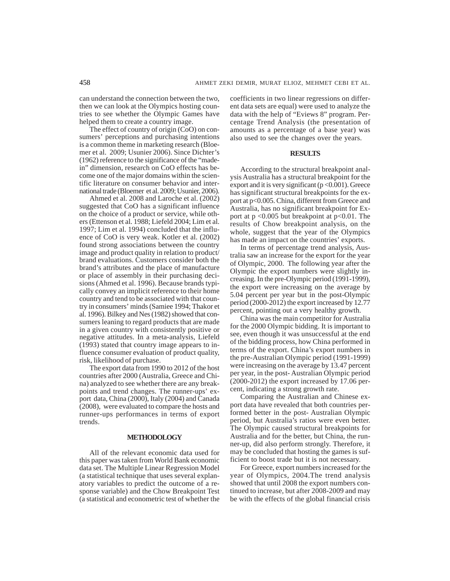can understand the connection between the two, then we can look at the Olympics hosting countries to see whether the Olympic Games have helped them to create a country image.

The effect of country of origin (CoO) on consumers' perceptions and purchasing intentions is a common theme in marketing research (Bloemer et al. 2009; Usunier 2006). Since Dichter's (1962) reference to the significance of the "madein" dimension, research on CoO effects has become one of the major domains within the scientific literature on consumer behavior and international trade (Bloemer et al. 2009; Usunier, 2006).

Ahmed et al. 2008 and Laroche et al. (2002) suggested that CoO has a significant influence on the choice of a product or service, while others (Ettenson et al. 1988; Liefeld 2004; Lim et al. 1997; Lim et al. 1994) concluded that the influence of CoO is very weak. Kotler et al. (2002) found strong associations between the country image and product quality in relation to product/ brand evaluations. Customers consider both the brand's attributes and the place of manufacture or place of assembly in their purchasing decisions (Ahmed et al. 1996). Because brands typically convey an implicit reference to their home country and tend to be associated with that country in consumers' minds (Samiee 1994; Thakor et al. 1996). Bilkey and Nes (1982) showed that consumers leaning to regard products that are made in a given country with consistently positive or negative attitudes. In a meta-analysis, Liefeld (1993) stated that country image appears to influence consumer evaluation of product quality, risk, likelihood of purchase.

The export data from 1990 to 2012 of the host countries after 2000 (Australia, Greece and China) analyzed to see whether there are any breakpoints and trend changes. The runner-ups' export data, China (2000), Italy (2004) and Canada (2008), were evaluated to compare the hosts and runner-ups performances in terms of export trends.

#### **METHODOLOGY**

All of the relevant economic data used for this paper was taken from World Bank economic data set. The Multiple Linear Regression Model (a statistical technique that uses several explanatory variables to predict the outcome of a response variable) and the Chow Breakpoint Test (a statistical and econometric test of whether the

coefficients in two linear regressions on different data sets are equal) were used to analyze the data with the help of "Eviews 8" program. Percentage Trend Analysis (the presentation of amounts as a percentage of a base year) was also used to see the changes over the years.

## **RESULTS**

According to the structural breakpoint analysis Australia has a structural breakpoint for the export and it is very significant ( $p < 0.001$ ). Greece has significant structural breakpoints for the export at p<0.005. China, different from Greece and Australia, has no significant breakpoint for Export at  $p < 0.005$  but breakpoint at  $p < 0.01$ . The results of Chow breakpoint analysis, on the whole, suggest that the year of the Olympics has made an impact on the countries' exports.

In terms of percentage trend analysis, Australia saw an increase for the export for the year of Olympic, 2000. The following year after the Olympic the export numbers were slightly increasing. In the pre-Olympic period (1991-1999), the export were increasing on the average by 5.04 percent per year but in the post-Olympic period (2000-2012) the export increased by 12.77 percent, pointing out a very healthy growth.

China was the main competitor for Australia for the 2000 Olympic bidding. It is important to see, even though it was unsuccessful at the end of the bidding process, how China performed in terms of the export. China's export numbers in the pre-Australian Olympic period (1991-1999) were increasing on the average by 13.47 percent per year, in the post- Australian Olympic period (2000-2012) the export increased by 17.06 percent, indicating a strong growth rate.

Comparing the Australian and Chinese export data have revealed that both countries performed better in the post- Australian Olympic period, but Australia's ratios were even better. The Olympic caused structural breakpoints for Australia and for the better, but China, the runner-up, did also perform strongly. Therefore, it may be concluded that hosting the games is sufficient to boost trade but it is not necessary.

For Greece, export numbers increased for the year of Olympics, 2004.The trend analysis showed that until 2008 the export numbers continued to increase, but after 2008-2009 and may be with the effects of the global financial crisis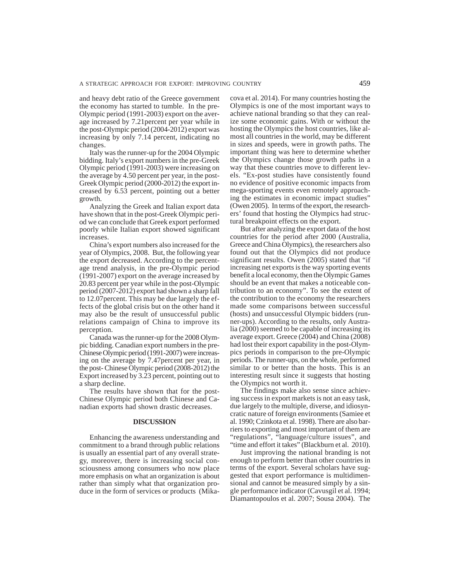and heavy debt ratio of the Greece government the economy has started to tumble. In the pre-Olympic period (1991-2003) export on the average increased by 7.21percent per year while in the post-Olympic period (2004-2012) export was increasing by only 7.14 percent, indicating no changes.

Italy was the runner-up for the 2004 Olympic bidding. Italy's export numbers in the pre-Greek Olympic period (1991-2003) were increasing on the average by 4.50 percent per year, in the post-Greek Olympic period (2000-2012) the export increased by 6.53 percent, pointing out a better growth.

Analyzing the Greek and Italian export data have shown that in the post-Greek Olympic period we can conclude that Greek export performed poorly while Italian export showed significant increases.

China's export numbers also increased for the year of Olympics, 2008. But, the following year the export decreased. According to the percentage trend analysis, in the pre-Olympic period (1991-2007) export on the average increased by 20.83 percent per year while in the post-Olympic period (2007-2012) export had shown a sharp fall to 12.07percent. This may be due largely the effects of the global crisis but on the other hand it may also be the result of unsuccessful public relations campaign of China to improve its perception.

Canada was the runner-up for the 2008 Olympic bidding. Canadian export numbers in the pre-Chinese Olympic period (1991-2007) were increasing on the average by 7.47percent per year, in the post- Chinese Olympic period (2008-2012) the Export increased by 3.23 percent, pointing out to a sharp decline.

The results have shown that for the post-Chinese Olympic period both Chinese and Canadian exports had shown drastic decreases.

## **DISCUSSION**

Enhancing the awareness understanding and commitment to a brand through public relations is usually an essential part of any overall strategy, moreover, there is increasing social consciousness among consumers who now place more emphasis on what an organization is about rather than simply what that organization produce in the form of services or products (Mikacova et al. 2014). For many countries hosting the Olympics is one of the most important ways to achieve national branding so that they can realize some economic gains. With or without the hosting the Olympics the host countries, like almost all countries in the world, may be different in sizes and speeds, were in growth paths. The important thing was here to determine whether the Olympics change those growth paths in a way that these countries move to different levels. "Ex-post studies have consistently found no evidence of positive economic impacts from mega-sporting events even remotely approaching the estimates in economic impact studies" (Owen 2005). In terms of the export, the researchers' found that hosting the Olympics had structural breakpoint effects on the export.

But after analyzing the export data of the host countries for the period after 2000 (Australia, Greece and China Olympics), the researchers also found out that the Olympics did not produce significant results. Owen (2005) stated that "if increasing net exports is the way sporting events benefit a local economy, then the Olympic Games should be an event that makes a noticeable contribution to an economy". To see the extent of the contribution to the economy the researchers made some comparisons between successful (hosts) and unsuccessful Olympic bidders (runner-ups). According to the results, only Australia (2000) seemed to be capable of increasing its average export. Greece (2004) and China (2008) had lost their export capability in the post-Olympics periods in comparison to the pre-Olympic periods. The runner-ups, on the whole, performed similar to or better than the hosts. This is an interesting result since it suggests that hosting the Olympics not worth it.

The findings make also sense since achieving success in export markets is not an easy task, due largely to the multiple, diverse, and idiosyncratic nature of foreign environments (Samiee et al. 1990; Czinkota et al. 1998). There are also barriers to exporting and most important of them are "regulations", "language/culture issues", and "time and effort it takes" (Blackburn et al. 2010).

Just improving the national branding is not enough to perform better than other countries in terms of the export. Several scholars have suggested that export performance is multidimensional and cannot be measured simply by a single performance indicator (Cavusgil et al. 1994; Diamantopoulos et al. 2007; Sousa 2004). The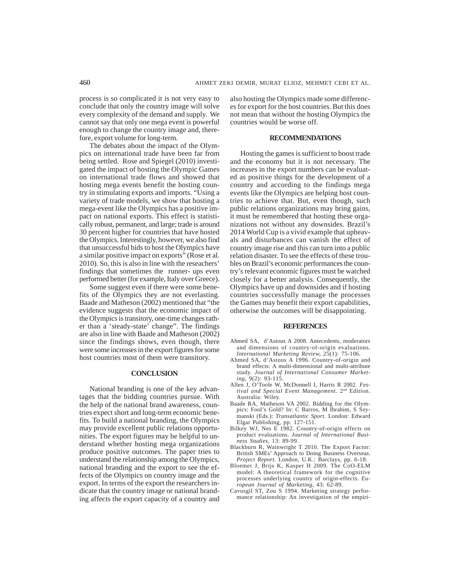process is so complicated it is not very easy to conclude that only the country image will solve every complexity of the demand and supply. We cannot say that only one mega event is powerful enough to change the country image and, therefore, export volume for long-term.

The debates about the impact of the Olympics on international trade have been far from being settled. Rose and Spiegel (2010) investigated the impact of hosting the Olympic Games on international trade flows and showed that hosting mega events benefit the hosting country in stimulating exports and imports. "Using a variety of trade models, we show that hosting a mega-event like the Olympics has a positive impact on national exports. This effect is statistically robust, permanent, and large; trade is around 30 percent higher for countries that have hosted the Olympics. Interestingly, however, we also find that unsuccessful bids to host the Olympics have a similar positive impact on exports" (Rose et al. 2010). So, this is also in line with the reseachers' findings that sometimes the runner- ups even performed better (for example, Italy over Greece).

Some suggest even if there were some benefits of the Olympics they are not everlasting. Baade and Matheson (2002) mentioned that "the evidence suggests that the economic impact of the Olympics is transitory, one-time changes rather than a 'steady-state' change". The findings are also in line with Baade and Matheson (2002) since the findings shows, even though, there were some increases in the export figures for some host countries most of them were transitory.

#### **CONCLUSION**

National branding is one of the key advantages that the bidding countries pursue. With the help of the national brand awareness, countries expect short and long-term economic benefits. To build a national branding, the Olympics may provide excellent public relations opportunities. The export figures may be helpful to understand whether hosting mega organizations produce positive outcomes. The paper tries to understand the relationship among the Olympics, national branding and the export to see the effects of the Olympics on country image and the export. In terms of the export the researchers indicate that the country image or national branding affects the export capacity of a country and also hosting the Olympics made some differences for export for the host countries. But this does not mean that without the hosting Olympics the countries would be worse off.

## **RECOMMENDATIONS**

Hosting the games is sufficient to boost trade and the economy but it is not necessary. The increases in the export numbers can be evaluated as positive things for the development of a country and according to the findings mega events like the Olympics are helping host countries to achieve that. But, even though, such public relations organizations may bring gains, it must be remembered that hosting these organizations not without any downsides. Brazil's 2014 World Cup is a vivid example that upheavals and disturbances can vanish the effect of country image rise and this can turn into a public relation disaster. To see the effects of these troubles on Brazil's economic performances the country's relevant economic figures must be watched closely for a better analysis. Consequently, the Olympics have up and downsides and if hosting countries successfully manage the processes the Games may benefit their export capabilities, otherwise the outcomes will be disappointing.

## **REFERENCES**

- Ahmed SA, d'Astous A 2008. Antecedents, moderators and dimensions of country-of-origin evaluations. *International Marketing Review,* 25(1): 75-106.
- Ahmed SA, d'Astous A 1996. Country-of-origin and brand effects: A multi-dimensional and multi-attribute study. *Journal of International Consumer Marketing,* 9(2): 93-115.
- Allen J, O'Toole W, McDonnell I, Harris R 2002. *Festival and Special Event Management.* 2nd Edition. Australia: Wiley.
- Baade RA, Matheson VA 2002. Bidding for the Olympics: Fool's Gold? In: C Barros, M Ibrahim, S Szymanski (Eds.): *Transatlantic Sport.* London: Edward Elgar Publishing, pp. 127-151.
- Bilkey WJ, Nes E 1982. Country-of-origin effects on product evaluations. *Journal of International Business Studies,* 13: 89-99.
- Blackburn R, Wainwright T 2010. The Export Factor: British SMEs' Approach to Doing Business Overseas. *Project Report.* London, U.K.: Barclays, pp. 6-18.
- Bloemer J, Brijs K, Kasper H 2009. The CoO-ELM model: A theoretical framework for the cognitive processes underlying country of origin-effects. *European Journal of Marketing,* 43: 62-89.
- Cavusgil ST, Zou S 1994. Marketing strategy performance relationship: An investigation of the empiri-